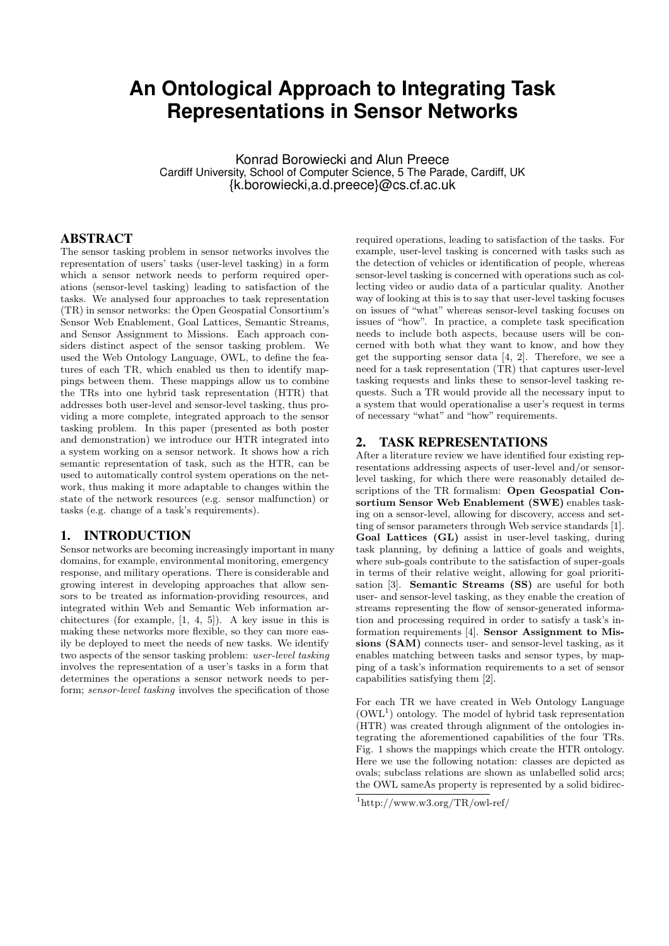# **An Ontological Approach to Integrating Task Representations in Sensor Networks**

Konrad Borowiecki and Alun Preece Cardiff University, School of Computer Science, 5 The Parade, Cardiff, UK {k.borowiecki,a.d.preece}@cs.cf.ac.uk

# ABSTRACT

The sensor tasking problem in sensor networks involves the representation of users' tasks (user-level tasking) in a form which a sensor network needs to perform required operations (sensor-level tasking) leading to satisfaction of the tasks. We analysed four approaches to task representation (TR) in sensor networks: the Open Geospatial Consortium's Sensor Web Enablement, Goal Lattices, Semantic Streams, and Sensor Assignment to Missions. Each approach considers distinct aspect of the sensor tasking problem. We used the Web Ontology Language, OWL, to define the features of each TR, which enabled us then to identify mappings between them. These mappings allow us to combine the TRs into one hybrid task representation (HTR) that addresses both user-level and sensor-level tasking, thus providing a more complete, integrated approach to the sensor tasking problem. In this paper (presented as both poster and demonstration) we introduce our HTR integrated into a system working on a sensor network. It shows how a rich semantic representation of task, such as the HTR, can be used to automatically control system operations on the network, thus making it more adaptable to changes within the state of the network resources (e.g. sensor malfunction) or tasks (e.g. change of a task's requirements).

# 1. INTRODUCTION

Sensor networks are becoming increasingly important in many domains, for example, environmental monitoring, emergency response, and military operations. There is considerable and growing interest in developing approaches that allow sensors to be treated as information-providing resources, and integrated within Web and Semantic Web information architectures (for example, [1, 4, 5]). A key issue in this is making these networks more flexible, so they can more easily be deployed to meet the needs of new tasks. We identify two aspects of the sensor tasking problem: user-level tasking involves the representation of a user's tasks in a form that determines the operations a sensor network needs to perform; sensor-level tasking involves the specification of those

required operations, leading to satisfaction of the tasks. For example, user-level tasking is concerned with tasks such as the detection of vehicles or identification of people, whereas sensor-level tasking is concerned with operations such as collecting video or audio data of a particular quality. Another way of looking at this is to say that user-level tasking focuses on issues of "what" whereas sensor-level tasking focuses on issues of "how". In practice, a complete task specification needs to include both aspects, because users will be concerned with both what they want to know, and how they get the supporting sensor data [4, 2]. Therefore, we see a need for a task representation (TR) that captures user-level tasking requests and links these to sensor-level tasking requests. Such a TR would provide all the necessary input to a system that would operationalise a user's request in terms of necessary "what" and "how" requirements.

### 2. TASK REPRESENTATIONS

After a literature review we have identified four existing representations addressing aspects of user-level and/or sensorlevel tasking, for which there were reasonably detailed descriptions of the TR formalism: Open Geospatial Consortium Sensor Web Enablement (SWE) enables tasking on a sensor-level, allowing for discovery, access and setting of sensor parameters through Web service standards [1]. Goal Lattices (GL) assist in user-level tasking, during task planning, by defining a lattice of goals and weights, where sub-goals contribute to the satisfaction of super-goals in terms of their relative weight, allowing for goal prioritisation [3]. Semantic Streams (SS) are useful for both user- and sensor-level tasking, as they enable the creation of streams representing the flow of sensor-generated information and processing required in order to satisfy a task's information requirements [4]. Sensor Assignment to Missions (SAM) connects user- and sensor-level tasking, as it enables matching between tasks and sensor types, by mapping of a task's information requirements to a set of sensor capabilities satisfying them [2].

For each TR we have created in Web Ontology Language  $(OWL<sup>1</sup>)$  ontology. The model of hybrid task representation (HTR) was created through alignment of the ontologies integrating the aforementioned capabilities of the four TRs. Fig. 1 shows the mappings which create the HTR ontology. Here we use the following notation: classes are depicted as ovals; subclass relations are shown as unlabelled solid arcs; the OWL sameAs property is represented by a solid bidirec-

<sup>1</sup>http://www.w3.org/TR/owl-ref/